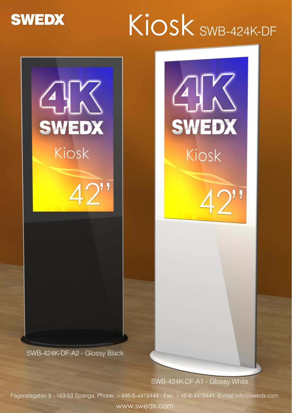

# Kiosk SWB-424K-DF



SWB-424K-DF-A2 - Glossy Black

SWB-424K-DF-A1 - Glossy White

Fagerstagatan 9 - 163 53 Spanga. Phone: +446-8-4418444 - Fax: +46-8-4418441. E-mail:info@swedx.com

www.swedx.com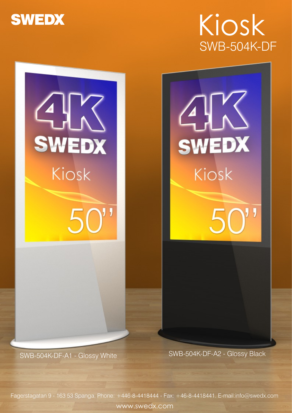

## Kiosk SWB-504K-DF



SWB-504K-DF-A1 - Glossy White SWB-504K-DF-A2 - Glossy Black

Fagerstagatan 9 - 163 53 Spanga. Phone: +446-8-4418444 - Fax: +46-8-4418441. E-mail:info@swedx.com www.swedx.com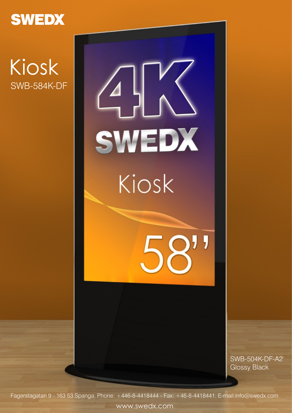

### Kiosk SWB-584K-DF



SWB-504K-DF-A2 Glossy Black

Fagerstagatan 9 - 163 53 Spanga. Phone: +446-8-4418444 - Fax: +46-8-4418441. E-mail:info@swedx.com

www.swedx.com